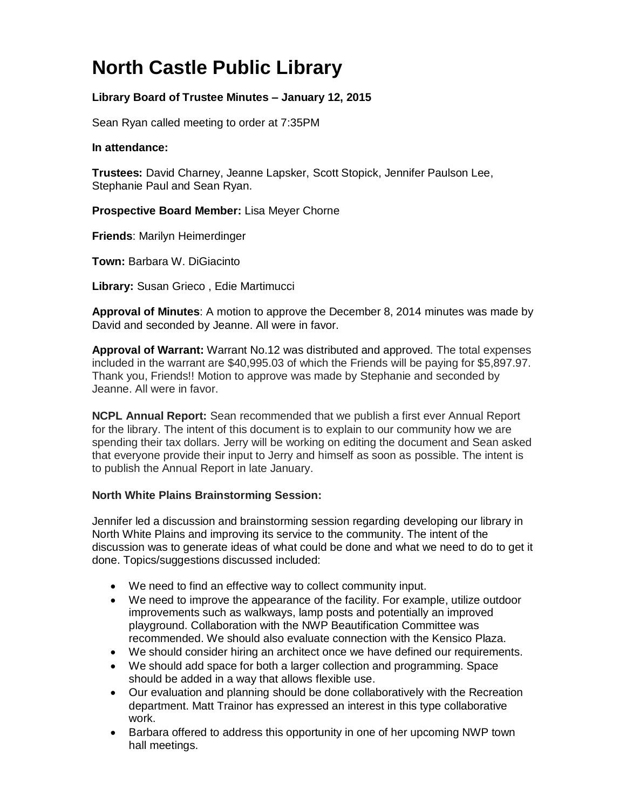# **North Castle Public Library**

# **Library Board of Trustee Minutes – January 12, 2015**

Sean Ryan called meeting to order at 7:35PM

#### **In attendance:**

**Trustees:** David Charney, Jeanne Lapsker, Scott Stopick, Jennifer Paulson Lee, Stephanie Paul and Sean Ryan.

**Prospective Board Member:** Lisa Meyer Chorne

**Friends**: Marilyn Heimerdinger

**Town:** [Barbara W. DiGiacinto](http://www.northcastleny.com/users/bdigiacinto/contact)

**Library:** Susan Grieco , Edie Martimucci

**Approval of Minutes**: A motion to approve the December 8, 2014 minutes was made by David and seconded by Jeanne. All were in favor.

**Approval of Warrant:** Warrant No.12 was distributed and approved. The total expenses included in the warrant are \$40,995.03 of which the Friends will be paying for \$5,897.97. Thank you, Friends!! Motion to approve was made by Stephanie and seconded by Jeanne. All were in favor.

**NCPL Annual Report:** Sean recommended that we publish a first ever Annual Report for the library. The intent of this document is to explain to our community how we are spending their tax dollars. Jerry will be working on editing the document and Sean asked that everyone provide their input to Jerry and himself as soon as possible. The intent is to publish the Annual Report in late January.

### **North White Plains Brainstorming Session:**

Jennifer led a discussion and brainstorming session regarding developing our library in North White Plains and improving its service to the community. The intent of the discussion was to generate ideas of what could be done and what we need to do to get it done. Topics/suggestions discussed included:

- We need to find an effective way to collect community input.
- We need to improve the appearance of the facility. For example, utilize outdoor improvements such as walkways, lamp posts and potentially an improved playground. Collaboration with the NWP Beautification Committee was recommended. We should also evaluate connection with the Kensico Plaza.
- We should consider hiring an architect once we have defined our requirements.
- We should add space for both a larger collection and programming. Space should be added in a way that allows flexible use.
- Our evaluation and planning should be done collaboratively with the Recreation department. Matt Trainor has expressed an interest in this type collaborative work.
- Barbara offered to address this opportunity in one of her upcoming NWP town hall meetings.